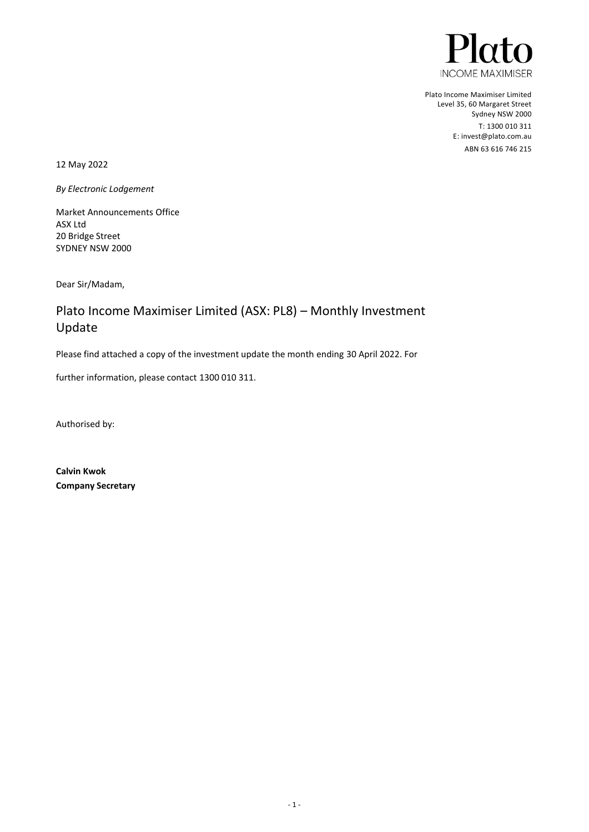

Plato Income Maximiser Limited Level 35, 60 Margaret Street Sydney NSW 2000 T: 1300 010 311 E[: invest@plato.com.au](file://///AESIR/Work/_CLIENTS/FABRIC%20-%20Pinnacle%20Investments/Plato%20Maximiser/invest@plato.com.au) ABN 63 616 746 215

12 May 2022

*By Electronic Lodgement* 

Market Announcements Office ASX Ltd 20 Bridge Street SYDNEY NSW 2000

Dear Sir/Madam,

# Plato Income Maximiser Limited (ASX: PL8) – Monthly Investment Update

Please find attached a copy of the investment update the month ending 30 April 2022. For

further information, please contact 1300 010 311.

Authorised by:

**Calvin Kwok Company Secretary**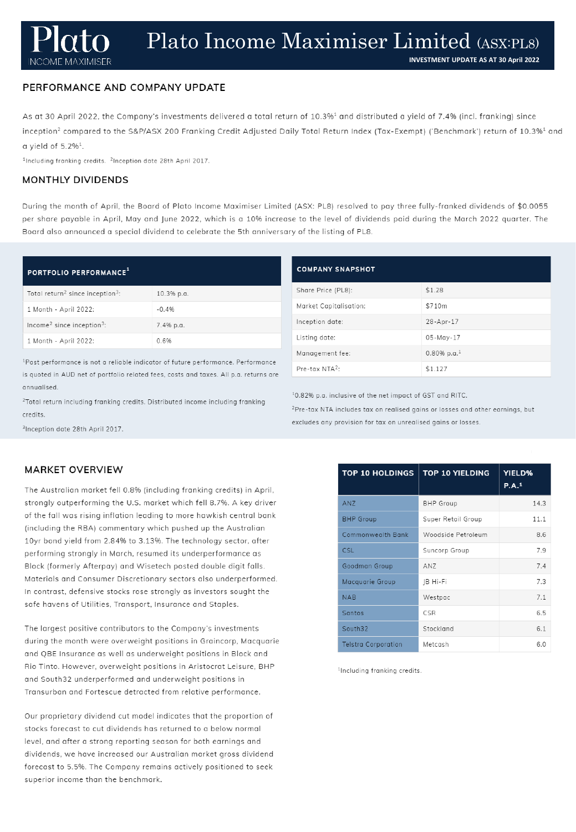### PERFORMANCE AND COMPANY UPDATE

As at 30 April 2022, the Company's investments delivered a total return of 10.3%<sup>1</sup> and distributed a yield of 7.4% (incl. franking) since inception<sup>2</sup> compared to the S&P/ASX 200 Franking Credit Adjusted Daily Total Return Index (Tax-Exempt) ('Benchmark') return of 10.3%<sup>1</sup> and a yield of  $5.2\%$ <sup>1</sup>.

<sup>1</sup>Including franking credits. <sup>2</sup>Inception date 28th April 2017.

### **MONTHLY DIVIDENDS**

During the month of April, the Board of Plato Income Maximiser Limited (ASX: PL8) resolved to pay three fully-franked dividends of \$0.0055 per share payable in April, May and June 2022, which is a 10% increase to the level of dividends paid during the March 2022 quarter. The Board also announced a special dividend to celebrate the 5th anniversary of the listing of PL8.

### PORTFOLIO PERFORMANCE<sup>1</sup>

| Total return <sup>2</sup> since inception <sup>3</sup> : | 10.3% p.a. |
|----------------------------------------------------------|------------|
| 1 Month - April 2022:                                    | $-0.4%$    |
| Income <sup>2</sup> since inception <sup>3</sup> :       | 7.4% p.a.  |
| 1 Month - April 2022:                                    | 0.6%       |

<sup>1</sup>Past performance is not a reliable indicator of future performance. Performance is quoted in AUD net of portfolio related fees, costs and taxes. All p.a. returns are annualised.

<sup>2</sup>Total return including franking credits. Distributed income including franking credits.

## **COMPANY SNAPSHOT** Share Price (PL8): Market Capitalisation: Inception date:

Listing date: Management fee:

Pre-tax NTA<sup>2</sup>:

10.82% p.a. inclusive of the net impact of GST and RITC.

<sup>2</sup>Pre-tax NTA includes tax on realised gains or losses and other earnings, but excludes any provision for tax on unrealised gains or losses.

 $$1.28$ 

 $$710m$ 

28-Apr-17 05-May-17

 $0.80\%$  p.a.<sup>1</sup>

 $$1.127$ 

| inception date 28th April 2017. |  |  |  |
|---------------------------------|--|--|--|
|                                 |  |  |  |

### **MARKET OVERVIEW**

The Australian market fell 0.8% (including franking credits) in April, strongly outperforming the U.S. market which fell 8.7%. A key driver of the fall was rising inflation leading to more hawkish central bank (including the RBA) commentary which pushed up the Australian 10yr bond yield from 2.84% to 3.13%. The technology sector, after performing strongly in March, resumed its underperformance as Block (formerly Afterpay) and Wisetech posted double digit falls. Materials and Consumer Discretionary sectors also underperformed. In contrast, defensive stocks rose strongly as investors sought the safe havens of Utilities, Transport, Insurance and Staples.

The largest positive contributors to the Company's investments during the month were overweight positions in Graincorp, Macquarie and QBE Insurance as well as underweight positions in Block and Rio Tinto. However, overweight positions in Aristocrat Leisure, BHP and South32 underperformed and underweight positions in Transurban and Fortescue detracted from relative performance.

Our proprietary dividend cut model indicates that the proportion of stocks forecast to cut dividends has returned to a below normal level, and after a strong reporting season for both earnings and dividends, we have increased our Australian market gross dividend forecast to 5.5%. The Company remains actively positioned to seek superior income than the benchmark.

| <b>TOP 10 HOLDINGS</b>     | <b>TOP 10 YIELDING</b> | <b>YIELD%</b><br>P.A. <sup>1</sup> |
|----------------------------|------------------------|------------------------------------|
| ANZ                        | <b>BHP</b> Group       | 14.3                               |
| <b>BHP</b> Group           | Super Retail Group     | 11.1                               |
| <b>Commonwealth Bank</b>   | Woodside Petroleum     | 8.6                                |
| CSL.                       | Suncorp Group          | 7.9                                |
| Goodman Group              | AN7                    | 7.4                                |
| Macquarie Group            | JB Hi-Fi               | 7.3                                |
| <b>NAB</b>                 | Westpac                | 7.1                                |
| Santos                     | CSR                    | 6.5                                |
| South32                    | Stockland              | 6.1                                |
| <b>Telstra Corporation</b> | Metcash                | 6.0                                |

<sup>1</sup>Including franking credits.